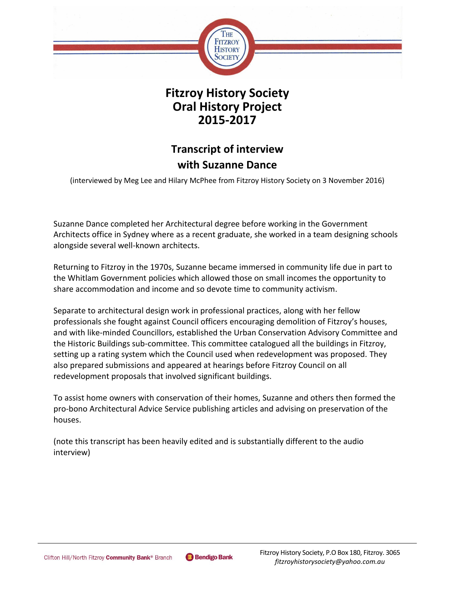

**Fitzroy History Society Oral History Project 2015-2017**

# **Transcript of interview with Suzanne Dance**

(interviewed by Meg Lee and Hilary McPhee from Fitzroy History Society on 3 November 2016)

Suzanne Dance completed her Architectural degree before working in the Government Architects office in Sydney where as a recent graduate, she worked in a team designing schools alongside several well-known architects.

Returning to Fitzroy in the 1970s, Suzanne became immersed in community life due in part to the Whitlam Government policies which allowed those on small incomes the opportunity to share accommodation and income and so devote time to community activism.

Separate to architectural design work in professional practices, along with her fellow professionals she fought against Council officers encouraging demolition of Fitzroy's houses, and with like-minded Councillors, established the Urban Conservation Advisory Committee and the Historic Buildings sub-committee. This committee catalogued all the buildings in Fitzroy, setting up a rating system which the Council used when redevelopment was proposed. They also prepared submissions and appeared at hearings before Fitzroy Council on all redevelopment proposals that involved significant buildings.

To assist home owners with conservation of their homes, Suzanne and others then formed the pro-bono Architectural Advice Service publishing articles and advising on preservation of the houses.

(note this transcript has been heavily edited and is substantially different to the audio interview)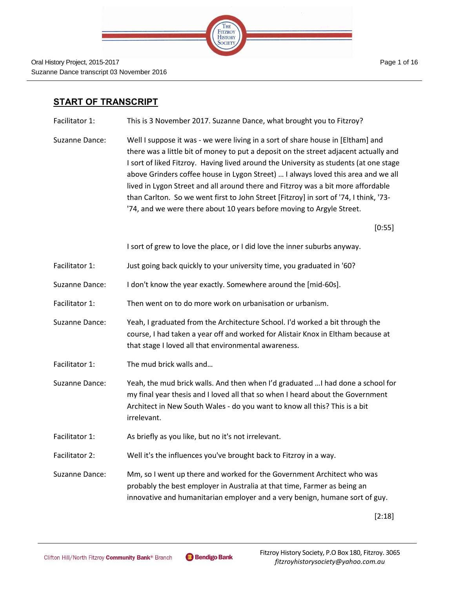

## **START OF TRANSCRIPT**

Facilitator 1: This is 3 November 2017. Suzanne Dance, what brought you to Fitzroy?

Suzanne Dance: Well I suppose it was - we were living in a sort of share house in [Eltham] and there was a little bit of money to put a deposit on the street adjacent actually and I sort of liked Fitzroy. Having lived around the University as students (at one stage above Grinders coffee house in Lygon Street) … I always loved this area and we all lived in Lygon Street and all around there and Fitzroy was a bit more affordable than Carlton. So we went first to John Street [Fitzroy] in sort of '74, I think, '73- '74, and we were there about 10 years before moving to Argyle Street.

[0:55]

I sort of grew to love the place, or I did love the inner suburbs anyway.

- Facilitator 1: Just going back quickly to your university time, you graduated in '60?
- Suzanne Dance: I don't know the year exactly. Somewhere around the [mid-60s].
- Facilitator 1: Then went on to do more work on urbanisation or urbanism.
- Suzanne Dance: Yeah, I graduated from the Architecture School. I'd worked a bit through the course, I had taken a year off and worked for Alistair Knox in Eltham because at that stage I loved all that environmental awareness.
- Facilitator 1: The mud brick walls and...
- Suzanne Dance: Yeah, the mud brick walls. And then when I'd graduated …I had done a school for my final year thesis and I loved all that so when I heard about the Government Architect in New South Wales - do you want to know all this? This is a bit irrelevant.
- Facilitator 1: As briefly as you like, but no it's not irrelevant.
- Facilitator 2: Well it's the influences you've brought back to Fitzroy in a way.

Suzanne Dance: Mm, so I went up there and worked for the Government Architect who was probably the best employer in Australia at that time, Farmer as being an innovative and humanitarian employer and a very benign, humane sort of guy.

[2:18]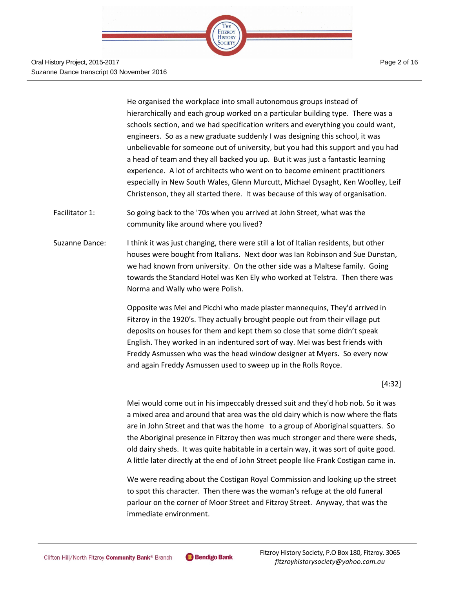

Oral History Project, 2015-2017 Suzanne Dance transcript 03 November 2016

He organised the workplace into small autonomous groups instead of hierarchically and each group worked on a particular building type. There was a schools section, and we had specification writers and everything you could want, engineers. So as a new graduate suddenly I was designing this school, it was unbelievable for someone out of university, but you had this support and you had a head of team and they all backed you up. But it was just a fantastic learning experience. A lot of architects who went on to become eminent practitioners especially in New South Wales, Glenn Murcutt, Michael Dysaght, Ken Woolley, Leif Christenson, they all started there. It was because of this way of organisation.

- Facilitator 1: So going back to the '70s when you arrived at John Street, what was the community like around where you lived?
- Suzanne Dance: I think it was just changing, there were still a lot of Italian residents, but other houses were bought from Italians. Next door was Ian Robinson and Sue Dunstan, we had known from university. On the other side was a Maltese family. Going towards the Standard Hotel was Ken Ely who worked at Telstra. Then there was Norma and Wally who were Polish.

Opposite was Mei and Picchi who made plaster mannequins, They'd arrived in Fitzroy in the 1920's. They actually brought people out from their village put deposits on houses for them and kept them so close that some didn't speak English. They worked in an indentured sort of way. Mei was best friends with Freddy Asmussen who was the head window designer at Myers. So every now and again Freddy Asmussen used to sweep up in the Rolls Royce.

[4:32]

Mei would come out in his impeccably dressed suit and they'd hob nob. So it was a mixed area and around that area was the old dairy which is now where the flats are in John Street and that was the home to a group of Aboriginal squatters. So the Aboriginal presence in Fitzroy then was much stronger and there were sheds, old dairy sheds. It was quite habitable in a certain way, it was sort of quite good. A little later directly at the end of John Street people like Frank Costigan came in.

We were reading about the Costigan Royal Commission and looking up the street to spot this character. Then there was the woman's refuge at the old funeral parlour on the corner of Moor Street and Fitzroy Street. Anyway, that was the immediate environment.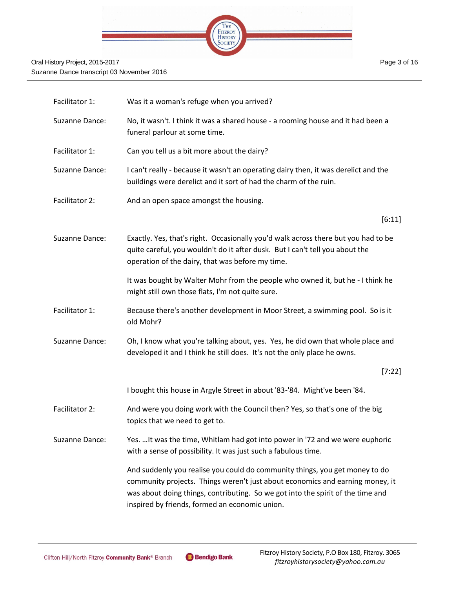

| Facilitator 1: | Was it a woman's refuge when you arrived?                                                                                                                                                                                                                                                         |
|----------------|---------------------------------------------------------------------------------------------------------------------------------------------------------------------------------------------------------------------------------------------------------------------------------------------------|
| Suzanne Dance: | No, it wasn't. I think it was a shared house - a rooming house and it had been a<br>funeral parlour at some time.                                                                                                                                                                                 |
| Facilitator 1: | Can you tell us a bit more about the dairy?                                                                                                                                                                                                                                                       |
| Suzanne Dance: | I can't really - because it wasn't an operating dairy then, it was derelict and the<br>buildings were derelict and it sort of had the charm of the ruin.                                                                                                                                          |
| Facilitator 2: | And an open space amongst the housing.                                                                                                                                                                                                                                                            |
|                | [6:11]                                                                                                                                                                                                                                                                                            |
| Suzanne Dance: | Exactly. Yes, that's right. Occasionally you'd walk across there but you had to be<br>quite careful, you wouldn't do it after dusk. But I can't tell you about the<br>operation of the dairy, that was before my time.                                                                            |
|                | It was bought by Walter Mohr from the people who owned it, but he - I think he<br>might still own those flats, I'm not quite sure.                                                                                                                                                                |
| Facilitator 1: | Because there's another development in Moor Street, a swimming pool. So is it<br>old Mohr?                                                                                                                                                                                                        |
| Suzanne Dance: | Oh, I know what you're talking about, yes. Yes, he did own that whole place and<br>developed it and I think he still does. It's not the only place he owns.                                                                                                                                       |
|                | [7:22]                                                                                                                                                                                                                                                                                            |
|                | I bought this house in Argyle Street in about '83-'84. Might've been '84.                                                                                                                                                                                                                         |
| Facilitator 2: | And were you doing work with the Council then? Yes, so that's one of the big<br>topics that we need to get to.                                                                                                                                                                                    |
| Suzanne Dance: | Yes.  It was the time, Whitlam had got into power in '72 and we were euphoric<br>with a sense of possibility. It was just such a fabulous time.                                                                                                                                                   |
|                | And suddenly you realise you could do community things, you get money to do<br>community projects. Things weren't just about economics and earning money, it<br>was about doing things, contributing. So we got into the spirit of the time and<br>inspired by friends, formed an economic union. |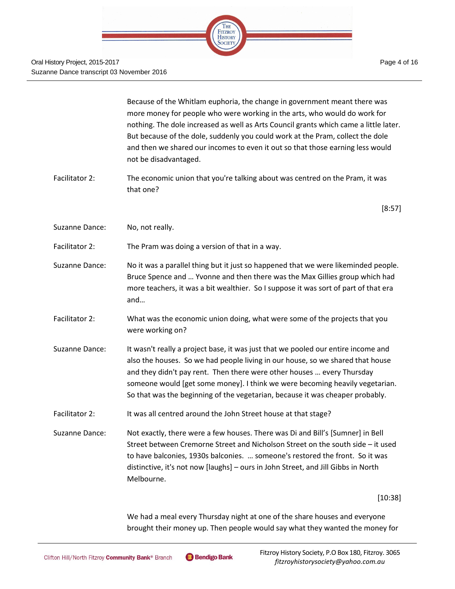

|                | Because of the Whitlam euphoria, the change in government meant there was<br>more money for people who were working in the arts, who would do work for<br>nothing. The dole increased as well as Arts Council grants which came a little later.<br>But because of the dole, suddenly you could work at the Pram, collect the dole<br>and then we shared our incomes to even it out so that those earning less would<br>not be disadvantaged. |
|----------------|----------------------------------------------------------------------------------------------------------------------------------------------------------------------------------------------------------------------------------------------------------------------------------------------------------------------------------------------------------------------------------------------------------------------------------------------|
| Facilitator 2: | The economic union that you're talking about was centred on the Pram, it was<br>that one?                                                                                                                                                                                                                                                                                                                                                    |
|                | [8:57]                                                                                                                                                                                                                                                                                                                                                                                                                                       |
| Suzanne Dance: | No, not really.                                                                                                                                                                                                                                                                                                                                                                                                                              |
| Facilitator 2: | The Pram was doing a version of that in a way.                                                                                                                                                                                                                                                                                                                                                                                               |
| Suzanne Dance: | No it was a parallel thing but it just so happened that we were likeminded people.<br>Bruce Spence and  Yvonne and then there was the Max Gillies group which had<br>more teachers, it was a bit wealthier. So I suppose it was sort of part of that era<br>and                                                                                                                                                                              |
| Facilitator 2: | What was the economic union doing, what were some of the projects that you<br>were working on?                                                                                                                                                                                                                                                                                                                                               |
| Suzanne Dance: | It wasn't really a project base, it was just that we pooled our entire income and<br>also the houses. So we had people living in our house, so we shared that house<br>and they didn't pay rent. Then there were other houses  every Thursday<br>someone would [get some money]. I think we were becoming heavily vegetarian.<br>So that was the beginning of the vegetarian, because it was cheaper probably.                               |
| Facilitator 2: | It was all centred around the John Street house at that stage?                                                                                                                                                                                                                                                                                                                                                                               |
| Suzanne Dance: | Not exactly, there were a few houses. There was Di and Bill's [Sumner] in Bell<br>Street between Cremorne Street and Nicholson Street on the south side - it used<br>to have balconies, 1930s balconies.  someone's restored the front. So it was<br>distinctive, it's not now [laughs] - ours in John Street, and Jill Gibbs in North<br>Melbourne.                                                                                         |
|                | $[10:38]$                                                                                                                                                                                                                                                                                                                                                                                                                                    |
|                | We had a meal every Thursday night at one of the share houses and everyone<br>brought their money up. Then people would say what they wanted the money for                                                                                                                                                                                                                                                                                   |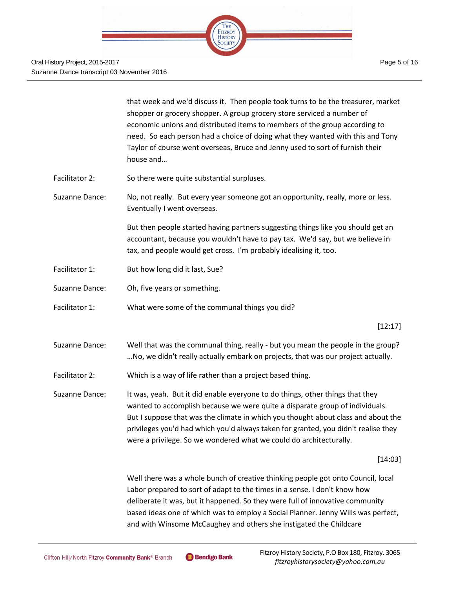

Oral History Project, 2015-2017 Suzanne Dance transcript 03 November 2016

that week and we'd discuss it. Then people took turns to be the treasurer, market shopper or grocery shopper. A group grocery store serviced a number of economic unions and distributed items to members of the group according to need. So each person had a choice of doing what they wanted with this and Tony Taylor of course went overseas, Bruce and Jenny used to sort of furnish their house and…

- Facilitator 2: So there were quite substantial surpluses.
- Suzanne Dance: No, not really. But every year someone got an opportunity, really, more or less. Eventually I went overseas.

But then people started having partners suggesting things like you should get an accountant, because you wouldn't have to pay tax. We'd say, but we believe in tax, and people would get cross. I'm probably idealising it, too.

- Facilitator 1: But how long did it last, Sue?
- Suzanne Dance: Oh, five years or something.
- Facilitator 1: What were some of the communal things you did?

### [12:17]

- Suzanne Dance: Well that was the communal thing, really but you mean the people in the group? …No, we didn't really actually embark on projects, that was our project actually.
- Facilitator 2: Which is a way of life rather than a project based thing.

Suzanne Dance: It was, yeah. But it did enable everyone to do things, other things that they wanted to accomplish because we were quite a disparate group of individuals. But I suppose that was the climate in which you thought about class and about the privileges you'd had which you'd always taken for granted, you didn't realise they were a privilege. So we wondered what we could do architecturally.

[14:03]

Well there was a whole bunch of creative thinking people got onto Council, local Labor prepared to sort of adapt to the times in a sense. I don't know how deliberate it was, but it happened. So they were full of innovative community based ideas one of which was to employ a Social Planner. Jenny Wills was perfect, and with Winsome McCaughey and others she instigated the Childcare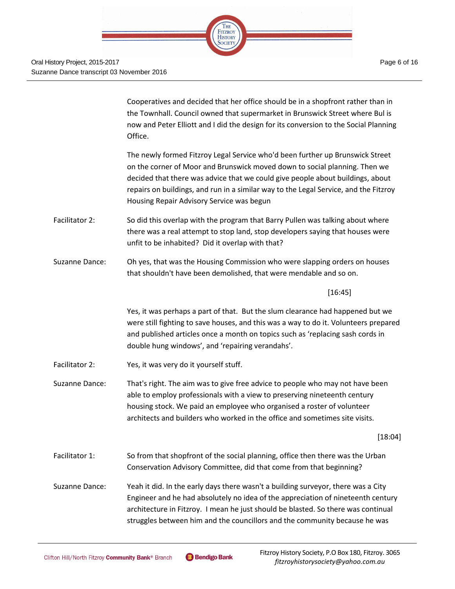

Cooperatives and decided that her office should be in a shopfront rather than in the Townhall. Council owned that supermarket in Brunswick Street where Bul is now and Peter Elliott and I did the design for its conversion to the Social Planning Office.

The newly formed Fitzroy Legal Service who'd been further up Brunswick Street on the corner of Moor and Brunswick moved down to social planning. Then we decided that there was advice that we could give people about buildings, about repairs on buildings, and run in a similar way to the Legal Service, and the Fitzroy Housing Repair Advisory Service was begun

- Facilitator 2: So did this overlap with the program that Barry Pullen was talking about where there was a real attempt to stop land, stop developers saying that houses were unfit to be inhabited? Did it overlap with that?
- Suzanne Dance: Oh yes, that was the Housing Commission who were slapping orders on houses that shouldn't have been demolished, that were mendable and so on.

[16:45]

Yes, it was perhaps a part of that. But the slum clearance had happened but we were still fighting to save houses, and this was a way to do it. Volunteers prepared and published articles once a month on topics such as 'replacing sash cords in double hung windows', and 'repairing verandahs'.

Facilitator 2: Yes, it was very do it yourself stuff.

Suzanne Dance: That's right. The aim was to give free advice to people who may not have been able to employ professionals with a view to preserving nineteenth century housing stock. We paid an employee who organised a roster of volunteer architects and builders who worked in the office and sometimes site visits.

[18:04]

Facilitator 1: So from that shopfront of the social planning, office then there was the Urban Conservation Advisory Committee, did that come from that beginning?

Suzanne Dance: Yeah it did. In the early days there wasn't a building surveyor, there was a City Engineer and he had absolutely no idea of the appreciation of nineteenth century architecture in Fitzroy. I mean he just should be blasted. So there was continual struggles between him and the councillors and the community because he was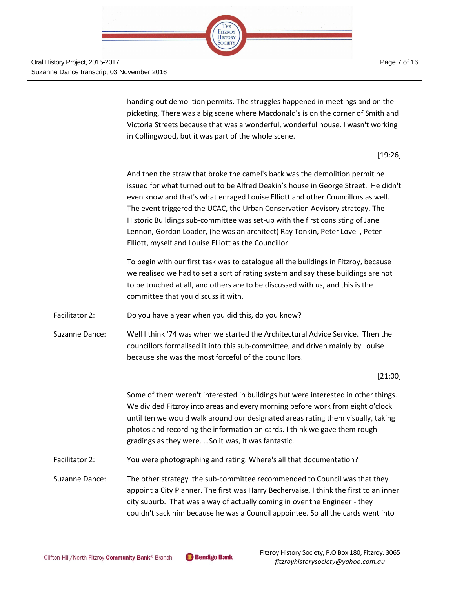Oral History Project, 2015-2017 Suzanne Dance transcript 03 November 2016

> handing out demolition permits. The struggles happened in meetings and on the picketing, There was a big scene where Macdonald's is on the corner of Smith and Victoria Streets because that was a wonderful, wonderful house. I wasn't working in Collingwood, but it was part of the whole scene.

THE FITZROY **HISTORY** SOCIETY

[19:26]

And then the straw that broke the camel's back was the demolition permit he issued for what turned out to be Alfred Deakin's house in George Street. He didn't even know and that's what enraged Louise Elliott and other Councillors as well. The event triggered the UCAC, the Urban Conservation Advisory strategy. The Historic Buildings sub-committee was set-up with the first consisting of Jane Lennon, Gordon Loader, (he was an architect) Ray Tonkin, Peter Lovell, Peter Elliott, myself and Louise Elliott as the Councillor.

To begin with our first task was to catalogue all the buildings in Fitzroy, because we realised we had to set a sort of rating system and say these buildings are not to be touched at all, and others are to be discussed with us, and this is the committee that you discuss it with.

Facilitator 2: Do you have a year when you did this, do you know?

Suzanne Dance: Well I think '74 was when we started the Architectural Advice Service. Then the councillors formalised it into this sub-committee, and driven mainly by Louise because she was the most forceful of the councillors.

#### [21:00]

Some of them weren't interested in buildings but were interested in other things. We divided Fitzroy into areas and every morning before work from eight o'clock until ten we would walk around our designated areas rating them visually, taking photos and recording the information on cards. I think we gave them rough gradings as they were. …So it was, it was fantastic.

Facilitator 2: You were photographing and rating. Where's all that documentation?

Suzanne Dance: The other strategy the sub-committee recommended to Council was that they appoint a City Planner. The first was Harry Bechervaise, I think the first to an inner city suburb. That was a way of actually coming in over the Engineer - they couldn't sack him because he was a Council appointee. So all the cards went into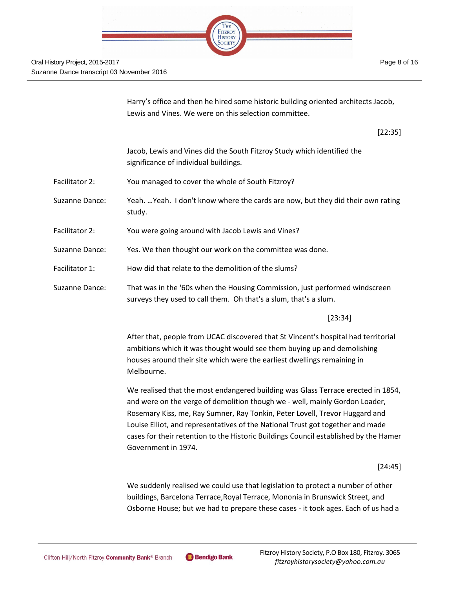

Harry's office and then he hired some historic building oriented architects Jacob, Lewis and Vines. We were on this selection committee.

[22:35]

Jacob, Lewis and Vines did the South Fitzroy Study which identified the significance of individual buildings.

- Facilitator 2: You managed to cover the whole of South Fitzroy?
- Suzanne Dance: Yeah. …Yeah. I don't know where the cards are now, but they did their own rating study.
- Facilitator 2: You were going around with Jacob Lewis and Vines?
- Suzanne Dance: Yes. We then thought our work on the committee was done.
- Facilitator 1: How did that relate to the demolition of the slums?
- Suzanne Dance: That was in the '60s when the Housing Commission, just performed windscreen surveys they used to call them. Oh that's a slum, that's a slum.

[23:34]

After that, people from UCAC discovered that St Vincent's hospital had territorial ambitions which it was thought would see them buying up and demolishing houses around their site which were the earliest dwellings remaining in Melbourne.

We realised that the most endangered building was Glass Terrace erected in 1854, and were on the verge of demolition though we - well, mainly Gordon Loader, Rosemary Kiss, me, Ray Sumner, Ray Tonkin, Peter Lovell, Trevor Huggard and Louise Elliot, and representatives of the National Trust got together and made cases for their retention to the Historic Buildings Council established by the Hamer Government in 1974.

[24:45]

We suddenly realised we could use that legislation to protect a number of other buildings, Barcelona Terrace,Royal Terrace, Mononia in Brunswick Street, and Osborne House; but we had to prepare these cases - it took ages. Each of us had a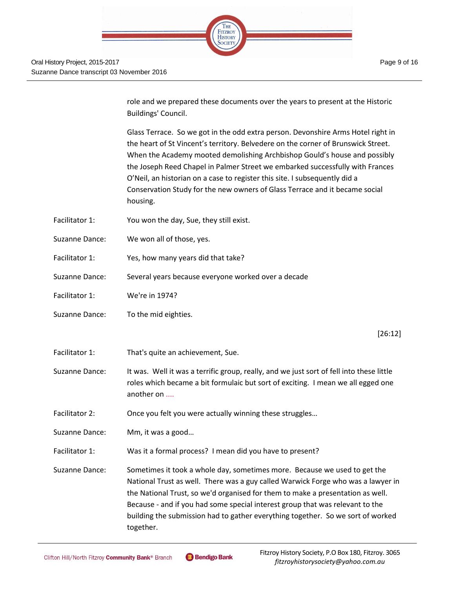

role and we prepared these documents over the years to present at the Historic Buildings' Council.

Glass Terrace. So we got in the odd extra person. Devonshire Arms Hotel right in the heart of St Vincent's territory. Belvedere on the corner of Brunswick Street. When the Academy mooted demolishing Archbishop Gould's house and possibly the Joseph Reed Chapel in Palmer Street we embarked successfully with Frances O'Neil, an historian on a case to register this site. I subsequently did a Conservation Study for the new owners of Glass Terrace and it became social housing.

- Facilitator 1: You won the day, Sue, they still exist.
- Suzanne Dance: We won all of those, yes.
- Facilitator 1: Yes, how many years did that take?
- Suzanne Dance: Several years because everyone worked over a decade
- Facilitator 1: We're in 1974?
- Suzanne Dance: To the mid eighties.

[26:12]

- Facilitator 1: That's quite an achievement, Sue.
- Suzanne Dance: It was. Well it was a terrific group, really, and we just sort of fell into these little roles which became a bit formulaic but sort of exciting. I mean we all egged one another on ....
- Facilitator 2: Once you felt you were actually winning these struggles...

Suzanne Dance: Mm, it was a good…

Facilitator 1: Was it a formal process? I mean did you have to present?

Suzanne Dance: Sometimes it took a whole day, sometimes more. Because we used to get the National Trust as well. There was a guy called Warwick Forge who was a lawyer in the National Trust, so we'd organised for them to make a presentation as well. Because - and if you had some special interest group that was relevant to the building the submission had to gather everything together. So we sort of worked together.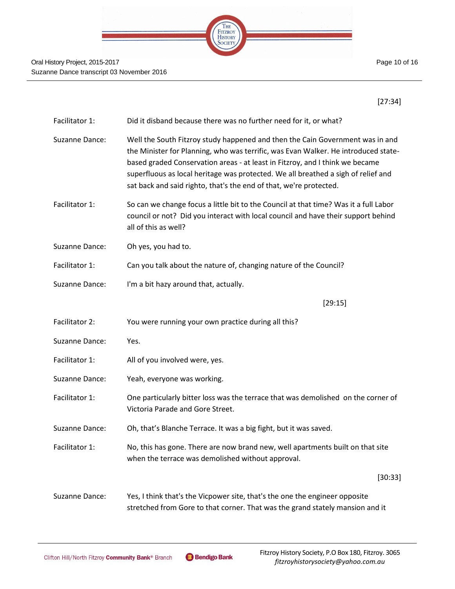

[27:34]

| Facilitator 1: | Did it disband because there was no further need for it, or what?                                                                                                                                                                                                                                                                                                                                              |
|----------------|----------------------------------------------------------------------------------------------------------------------------------------------------------------------------------------------------------------------------------------------------------------------------------------------------------------------------------------------------------------------------------------------------------------|
| Suzanne Dance: | Well the South Fitzroy study happened and then the Cain Government was in and<br>the Minister for Planning, who was terrific, was Evan Walker. He introduced state-<br>based graded Conservation areas - at least in Fitzroy, and I think we became<br>superfluous as local heritage was protected. We all breathed a sigh of relief and<br>sat back and said righto, that's the end of that, we're protected. |
| Facilitator 1: | So can we change focus a little bit to the Council at that time? Was it a full Labor<br>council or not? Did you interact with local council and have their support behind<br>all of this as well?                                                                                                                                                                                                              |
| Suzanne Dance: | Oh yes, you had to.                                                                                                                                                                                                                                                                                                                                                                                            |
| Facilitator 1: | Can you talk about the nature of, changing nature of the Council?                                                                                                                                                                                                                                                                                                                                              |
| Suzanne Dance: | I'm a bit hazy around that, actually.                                                                                                                                                                                                                                                                                                                                                                          |
|                | [29:15]                                                                                                                                                                                                                                                                                                                                                                                                        |
| Facilitator 2: | You were running your own practice during all this?                                                                                                                                                                                                                                                                                                                                                            |
| Suzanne Dance: | Yes.                                                                                                                                                                                                                                                                                                                                                                                                           |
| Facilitator 1: | All of you involved were, yes.                                                                                                                                                                                                                                                                                                                                                                                 |
| Suzanne Dance: | Yeah, everyone was working.                                                                                                                                                                                                                                                                                                                                                                                    |
| Facilitator 1: | One particularly bitter loss was the terrace that was demolished on the corner of<br>Victoria Parade and Gore Street.                                                                                                                                                                                                                                                                                          |
| Suzanne Dance: | Oh, that's Blanche Terrace. It was a big fight, but it was saved.                                                                                                                                                                                                                                                                                                                                              |
| Facilitator 1: | No, this has gone. There are now brand new, well apartments built on that site<br>when the terrace was demolished without approval.                                                                                                                                                                                                                                                                            |
|                | [30:33]                                                                                                                                                                                                                                                                                                                                                                                                        |
| Suzanne Dance: | Yes, I think that's the Vicpower site, that's the one the engineer opposite<br>stretched from Gore to that corner. That was the grand stately mansion and it                                                                                                                                                                                                                                                   |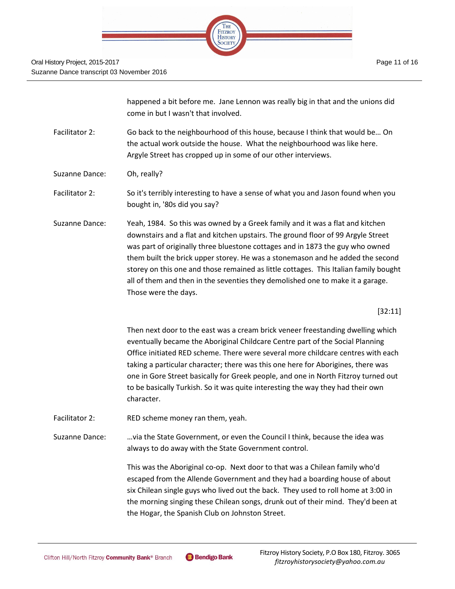

happened a bit before me. Jane Lennon was really big in that and the unions did come in but I wasn't that involved.

- Facilitator 2: Go back to the neighbourhood of this house, because I think that would be… On the actual work outside the house. What the neighbourhood was like here. Argyle Street has cropped up in some of our other interviews.
- Suzanne Dance: Oh, really?
- Facilitator 2: So it's terribly interesting to have a sense of what you and Jason found when you bought in, '80s did you say?
- Suzanne Dance: Yeah, 1984. So this was owned by a Greek family and it was a flat and kitchen downstairs and a flat and kitchen upstairs. The ground floor of 99 Argyle Street was part of originally three bluestone cottages and in 1873 the guy who owned them built the brick upper storey. He was a stonemason and he added the second storey on this one and those remained as little cottages. This Italian family bought all of them and then in the seventies they demolished one to make it a garage. Those were the days.

[32:11]

Then next door to the east was a cream brick veneer freestanding dwelling which eventually became the Aboriginal Childcare Centre part of the Social Planning Office initiated RED scheme. There were several more childcare centres with each taking a particular character; there was this one here for Aborigines, there was one in Gore Street basically for Greek people, and one in North Fitzroy turned out to be basically Turkish. So it was quite interesting the way they had their own character.

- Facilitator 2: RED scheme money ran them, yeah.
- Suzanne Dance: …via the State Government, or even the Council I think, because the idea was always to do away with the State Government control.

This was the Aboriginal co-op. Next door to that was a Chilean family who'd escaped from the Allende Government and they had a boarding house of about six Chilean single guys who lived out the back. They used to roll home at 3:00 in the morning singing these Chilean songs, drunk out of their mind. They'd been at the Hogar, the Spanish Club on Johnston Street.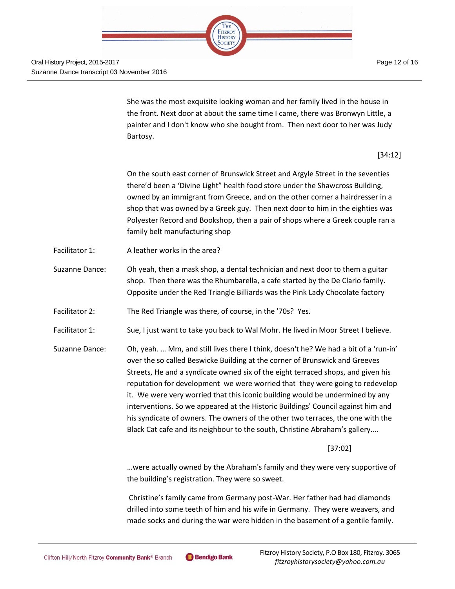

She was the most exquisite looking woman and her family lived in the house in the front. Next door at about the same time I came, there was Bronwyn Little, a painter and I don't know who she bought from. Then next door to her was Judy

[34:12]

On the south east corner of Brunswick Street and Argyle Street in the seventies there'd been a 'Divine Light" health food store under the Shawcross Building, owned by an immigrant from Greece, and on the other corner a hairdresser in a shop that was owned by a Greek guy. Then next door to him in the eighties was Polyester Record and Bookshop, then a pair of shops where a Greek couple ran a family belt manufacturing shop

Facilitator 1: A leather works in the area?

Bartosy.

- Suzanne Dance: Oh yeah, then a mask shop, a dental technician and next door to them a guitar shop. Then there was the Rhumbarella, a cafe started by the De Clario family. Opposite under the Red Triangle Billiards was the Pink Lady Chocolate factory
- Facilitator 2: The Red Triangle was there, of course, in the '70s? Yes.
- Facilitator 1: Sue, I just want to take you back to Wal Mohr. He lived in Moor Street I believe.
- Suzanne Dance: Oh, yeah. … Mm, and still lives there I think, doesn't he? We had a bit of a 'run-in' over the so called Beswicke Building at the corner of Brunswick and Greeves Streets, He and a syndicate owned six of the eight terraced shops, and given his reputation for development we were worried that they were going to redevelop it. We were very worried that this iconic building would be undermined by any interventions. So we appeared at the Historic Buildings' Council against him and his syndicate of owners. The owners of the other two terraces, the one with the Black Cat cafe and its neighbour to the south, Christine Abraham's gallery....

[37:02]

…were actually owned by the Abraham's family and they were very supportive of the building's registration. They were so sweet.

Christine's family came from Germany post-War. Her father had had diamonds drilled into some teeth of him and his wife in Germany. They were weavers, and made socks and during the war were hidden in the basement of a gentile family.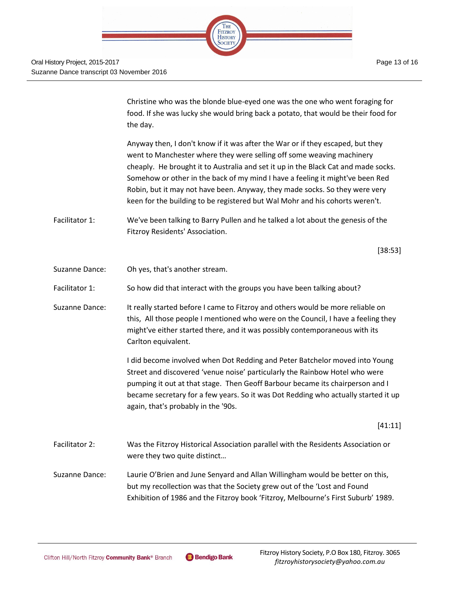

Christine who was the blonde blue-eyed one was the one who went foraging for food. If she was lucky she would bring back a potato, that would be their food for the day.

Anyway then, I don't know if it was after the War or if they escaped, but they went to Manchester where they were selling off some weaving machinery cheaply. He brought it to Australia and set it up in the Black Cat and made socks. Somehow or other in the back of my mind I have a feeling it might've been Red Robin, but it may not have been. Anyway, they made socks. So they were very keen for the building to be registered but Wal Mohr and his cohorts weren't.

Facilitator 1: We've been talking to Barry Pullen and he talked a lot about the genesis of the Fitzroy Residents' Association.

[38:53]

- Suzanne Dance: Oh yes, that's another stream.
- Facilitator 1: So how did that interact with the groups you have been talking about?
- Suzanne Dance: It really started before I came to Fitzroy and others would be more reliable on this, All those people I mentioned who were on the Council, I have a feeling they might've either started there, and it was possibly contemporaneous with its Carlton equivalent.

I did become involved when Dot Redding and Peter Batchelor moved into Young Street and discovered 'venue noise' particularly the Rainbow Hotel who were pumping it out at that stage. Then Geoff Barbour became its chairperson and I became secretary for a few years. So it was Dot Redding who actually started it up again, that's probably in the '90s.

[41:11]

- Facilitator 2: Was the Fitzroy Historical Association parallel with the Residents Association or were they two quite distinct…
- Suzanne Dance: Laurie O'Brien and June Senyard and Allan Willingham would be better on this, but my recollection was that the Society grew out of the 'Lost and Found Exhibition of 1986 and the Fitzroy book 'Fitzroy, Melbourne's First Suburb' 1989.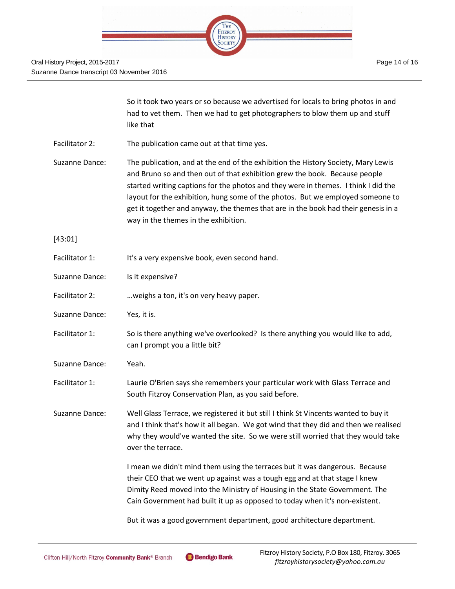

|                | So it took two years or so because we advertised for locals to bring photos in and<br>had to vet them. Then we had to get photographers to blow them up and stuff<br>like that                                                                                                                                                                                                                                                                                        |
|----------------|-----------------------------------------------------------------------------------------------------------------------------------------------------------------------------------------------------------------------------------------------------------------------------------------------------------------------------------------------------------------------------------------------------------------------------------------------------------------------|
| Facilitator 2: | The publication came out at that time yes.                                                                                                                                                                                                                                                                                                                                                                                                                            |
| Suzanne Dance: | The publication, and at the end of the exhibition the History Society, Mary Lewis<br>and Bruno so and then out of that exhibition grew the book. Because people<br>started writing captions for the photos and they were in themes. I think I did the<br>layout for the exhibition, hung some of the photos. But we employed someone to<br>get it together and anyway, the themes that are in the book had their genesis in a<br>way in the themes in the exhibition. |
| [43:01]        |                                                                                                                                                                                                                                                                                                                                                                                                                                                                       |
| Facilitator 1: | It's a very expensive book, even second hand.                                                                                                                                                                                                                                                                                                                                                                                                                         |
| Suzanne Dance: | Is it expensive?                                                                                                                                                                                                                                                                                                                                                                                                                                                      |
| Facilitator 2: | weighs a ton, it's on very heavy paper.                                                                                                                                                                                                                                                                                                                                                                                                                               |
| Suzanne Dance: | Yes, it is.                                                                                                                                                                                                                                                                                                                                                                                                                                                           |
| Facilitator 1: | So is there anything we've overlooked? Is there anything you would like to add,<br>can I prompt you a little bit?                                                                                                                                                                                                                                                                                                                                                     |
| Suzanne Dance: | Yeah.                                                                                                                                                                                                                                                                                                                                                                                                                                                                 |
| Facilitator 1: | Laurie O'Brien says she remembers your particular work with Glass Terrace and<br>South Fitzroy Conservation Plan, as you said before.                                                                                                                                                                                                                                                                                                                                 |
| Suzanne Dance: | Well Glass Terrace, we registered it but still I think St Vincents wanted to buy it<br>and I think that's how it all began. We got wind that they did and then we realised<br>why they would've wanted the site. So we were still worried that they would take<br>over the terrace.                                                                                                                                                                                   |
|                | I mean we didn't mind them using the terraces but it was dangerous. Because<br>their CEO that we went up against was a tough egg and at that stage I knew<br>Dimity Reed moved into the Ministry of Housing in the State Government. The<br>Cain Government had built it up as opposed to today when it's non-existent.                                                                                                                                               |
|                |                                                                                                                                                                                                                                                                                                                                                                                                                                                                       |

But it was a good government department, good architecture department.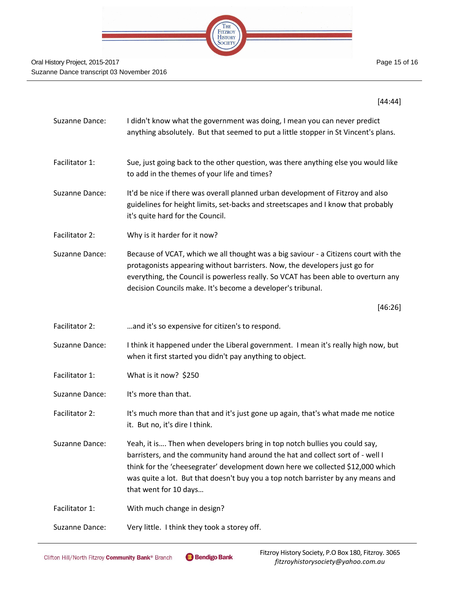

[44:44]

| Suzanne Dance: | I didn't know what the government was doing, I mean you can never predict<br>anything absolutely. But that seemed to put a little stopper in St Vincent's plans.                                                                                                                                                                                            |
|----------------|-------------------------------------------------------------------------------------------------------------------------------------------------------------------------------------------------------------------------------------------------------------------------------------------------------------------------------------------------------------|
| Facilitator 1: | Sue, just going back to the other question, was there anything else you would like<br>to add in the themes of your life and times?                                                                                                                                                                                                                          |
| Suzanne Dance: | It'd be nice if there was overall planned urban development of Fitzroy and also<br>guidelines for height limits, set-backs and streetscapes and I know that probably<br>it's quite hard for the Council.                                                                                                                                                    |
| Facilitator 2: | Why is it harder for it now?                                                                                                                                                                                                                                                                                                                                |
| Suzanne Dance: | Because of VCAT, which we all thought was a big saviour - a Citizens court with the<br>protagonists appearing without barristers. Now, the developers just go for<br>everything, the Council is powerless really. So VCAT has been able to overturn any<br>decision Councils make. It's become a developer's tribunal.                                      |
|                | [46:26]                                                                                                                                                                                                                                                                                                                                                     |
| Facilitator 2: | and it's so expensive for citizen's to respond.                                                                                                                                                                                                                                                                                                             |
| Suzanne Dance: | I think it happened under the Liberal government. I mean it's really high now, but<br>when it first started you didn't pay anything to object.                                                                                                                                                                                                              |
| Facilitator 1: | What is it now? \$250                                                                                                                                                                                                                                                                                                                                       |
| Suzanne Dance: | It's more than that.                                                                                                                                                                                                                                                                                                                                        |
| Facilitator 2: | It's much more than that and it's just gone up again, that's what made me notice<br>it. But no, it's dire I think.                                                                                                                                                                                                                                          |
| Suzanne Dance: | Yeah, it is Then when developers bring in top notch bullies you could say,<br>barristers, and the community hand around the hat and collect sort of - well I<br>think for the 'cheesegrater' development down here we collected \$12,000 which<br>was quite a lot. But that doesn't buy you a top notch barrister by any means and<br>that went for 10 days |
| Facilitator 1: | With much change in design?                                                                                                                                                                                                                                                                                                                                 |
| Suzanne Dance: | Very little. I think they took a storey off.                                                                                                                                                                                                                                                                                                                |